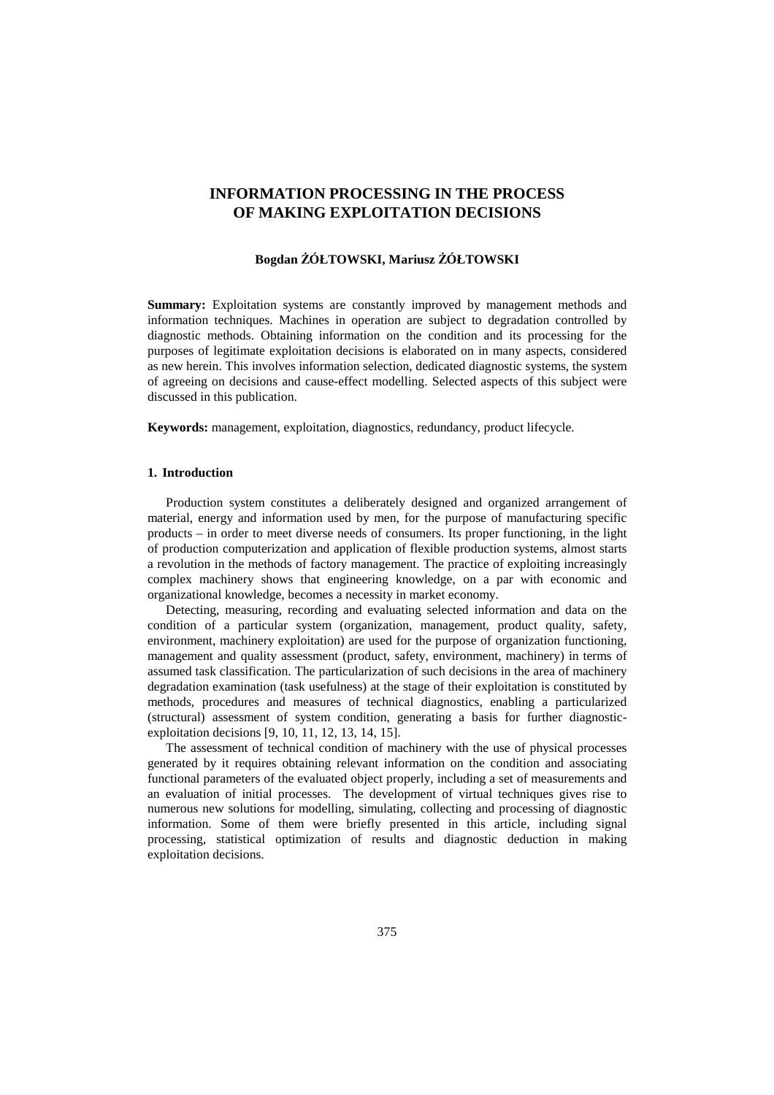# **INFORMATION PROCESSING IN THE PROCESS OF MAKING EXPLOITATION DECISIONS**

# **Bogdan ŻÓŁTOWSKI, Mariusz ŻÓŁTOWSKI**

**Summary:** Exploitation systems are constantly improved by management methods and information techniques. Machines in operation are subject to degradation controlled by diagnostic methods. Obtaining information on the condition and its processing for the purposes of legitimate exploitation decisions is elaborated on in many aspects, considered as new herein. This involves information selection, dedicated diagnostic systems, the system of agreeing on decisions and cause-effect modelling. Selected aspects of this subject were discussed in this publication.

**Keywords:** management, exploitation, diagnostics, redundancy, product lifecycle.

## **1. Introduction**

Production system constitutes a deliberately designed and organized arrangement of material, energy and information used by men, for the purpose of manufacturing specific products – in order to meet diverse needs of consumers. Its proper functioning, in the light of production computerization and application of flexible production systems, almost starts a revolution in the methods of factory management. The practice of exploiting increasingly complex machinery shows that engineering knowledge, on a par with economic and organizational knowledge, becomes a necessity in market economy.

Detecting, measuring, recording and evaluating selected information and data on the condition of a particular system (organization, management, product quality, safety, environment, machinery exploitation) are used for the purpose of organization functioning, management and quality assessment (product, safety, environment, machinery) in terms of assumed task classification. The particularization of such decisions in the area of machinery degradation examination (task usefulness) at the stage of their exploitation is constituted by methods, procedures and measures of technical diagnostics, enabling a particularized (structural) assessment of system condition, generating a basis for further diagnosticexploitation decisions [9, 10, 11, 12, 13, 14, 15].

The assessment of technical condition of machinery with the use of physical processes generated by it requires obtaining relevant information on the condition and associating functional parameters of the evaluated object properly, including a set of measurements and an evaluation of initial processes. The development of virtual techniques gives rise to numerous new solutions for modelling, simulating, collecting and processing of diagnostic information. Some of them were briefly presented in this article, including signal processing, statistical optimization of results and diagnostic deduction in making exploitation decisions.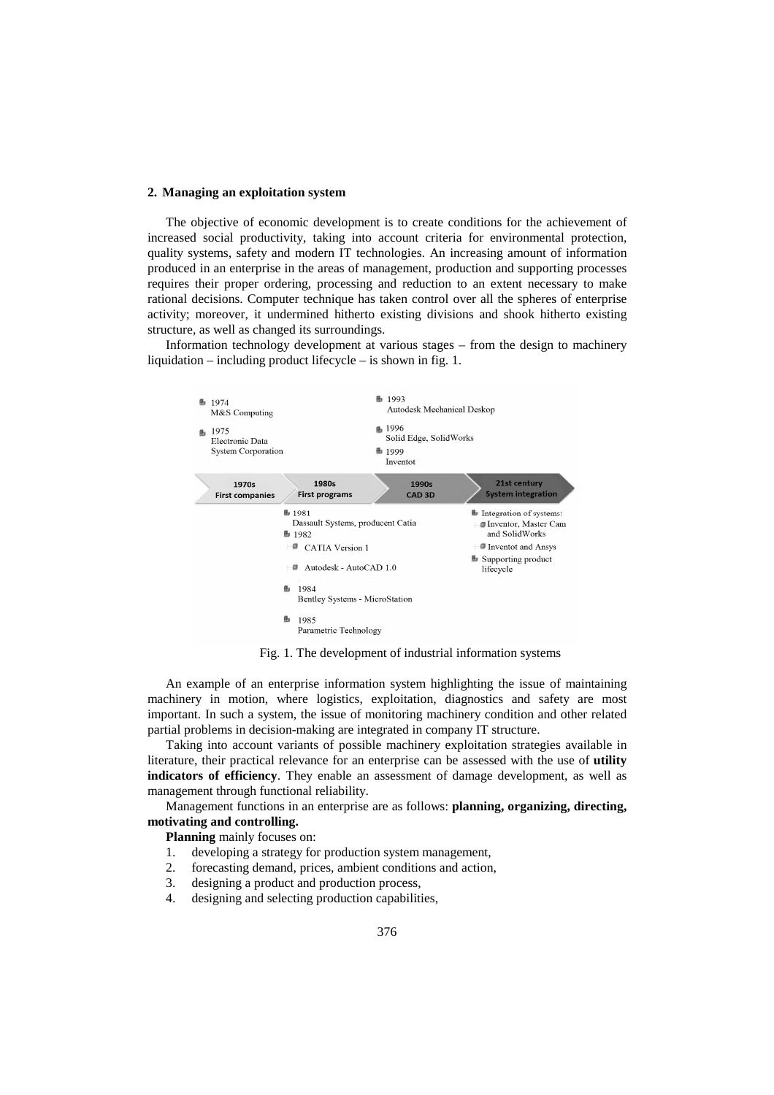#### **2. Managing an exploitation system**

The objective of economic development is to create conditions for the achievement of increased social productivity, taking into account criteria for environmental protection, quality systems, safety and modern IT technologies. An increasing amount of information produced in an enterprise in the areas of management, production and supporting processes requires their proper ordering, processing and reduction to an extent necessary to make rational decisions. Computer technique has taken control over all the spheres of enterprise activity; moreover, it undermined hitherto existing divisions and shook hitherto existing structure, as well as changed its surroundings.

Information technology development at various stages – from the design to machinery liquidation – including product lifecycle – is shown in fig. 1.



Fig. 1. The development of industrial information systems

An example of an enterprise information system highlighting the issue of maintaining machinery in motion, where logistics, exploitation, diagnostics and safety are most important. In such a system, the issue of monitoring machinery condition and other related partial problems in decision-making are integrated in company IT structure.

Taking into account variants of possible machinery exploitation strategies available in literature, their practical relevance for an enterprise can be assessed with the use of **utility indicators of efficiency**. They enable an assessment of damage development, as well as management through functional reliability.

Management functions in an enterprise are as follows: **planning, organizing, directing, motivating and controlling.** 

**Planning** mainly focuses on:

- 1. developing a strategy for production system management,
- 2. forecasting demand, prices, ambient conditions and action,
- 3. designing a product and production process,
- 4. designing and selecting production capabilities,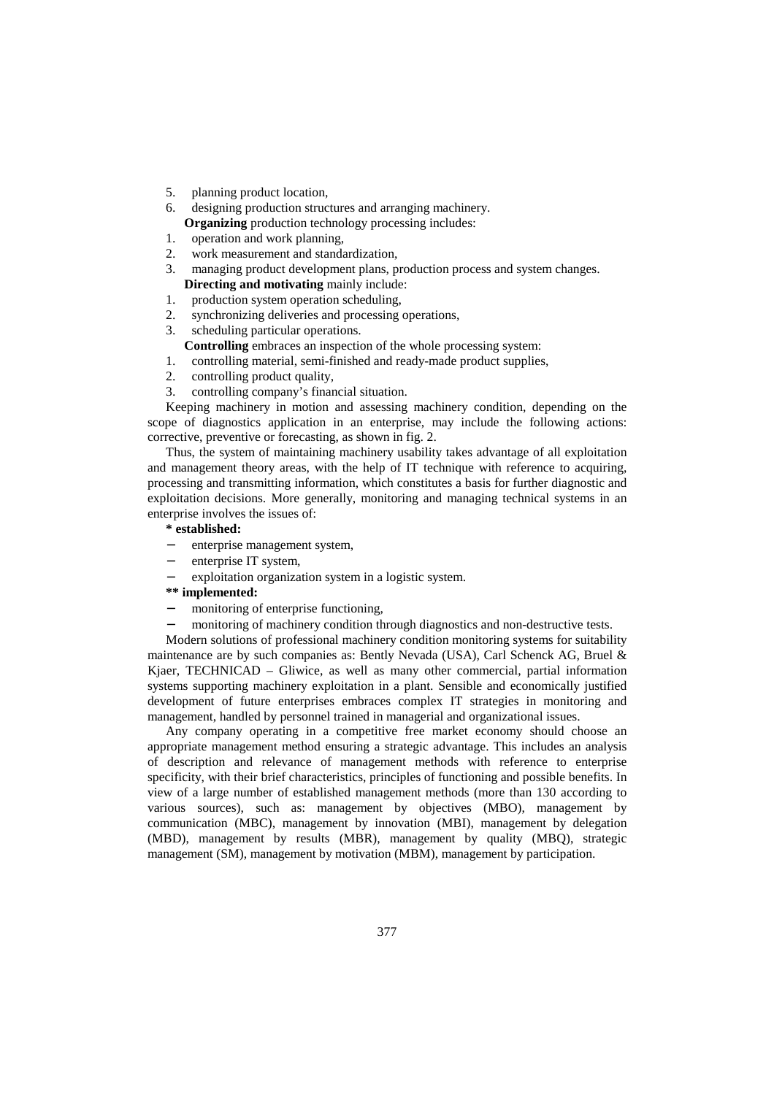- 5. planning product location,
- designing production structures and arranging machinery. **Organizing** production technology processing includes:
- 1. operation and work planning,
- 2. work measurement and standardization,
- 3. managing product development plans, production process and system changes. **Directing and motivating** mainly include:
- 1. production system operation scheduling,
- 2. synchronizing deliveries and processing operations,
- 3. scheduling particular operations.
	- **Controlling** embraces an inspection of the whole processing system:
- 1. controlling material, semi-finished and ready-made product supplies,
- 2. controlling product quality,
- 3. controlling company's financial situation.

Keeping machinery in motion and assessing machinery condition, depending on the scope of diagnostics application in an enterprise, may include the following actions: corrective, preventive or forecasting, as shown in fig. 2.

Thus, the system of maintaining machinery usability takes advantage of all exploitation and management theory areas, with the help of IT technique with reference to acquiring, processing and transmitting information, which constitutes a basis for further diagnostic and exploitation decisions. More generally, monitoring and managing technical systems in an enterprise involves the issues of:

#### **\* established:**

- enterprise management system,
- enterprise IT system,
- exploitation organization system in a logistic system.

# **\*\* implemented:**

- − monitoring of enterprise functioning,
- monitoring of machinery condition through diagnostics and non-destructive tests.

Modern solutions of professional machinery condition monitoring systems for suitability maintenance are by such companies as: Bently Nevada (USA), Carl Schenck AG, Bruel & Kjaer, TECHNICAD – Gliwice, as well as many other commercial, partial information systems supporting machinery exploitation in a plant. Sensible and economically justified development of future enterprises embraces complex IT strategies in monitoring and management, handled by personnel trained in managerial and organizational issues.

Any company operating in a competitive free market economy should choose an appropriate management method ensuring a strategic advantage. This includes an analysis of description and relevance of management methods with reference to enterprise specificity, with their brief characteristics, principles of functioning and possible benefits. In view of a large number of established management methods (more than 130 according to various sources), such as: management by objectives (MBO), management by communication (MBC), management by innovation (MBI), management by delegation (MBD), management by results (MBR), management by quality (MBQ), strategic management (SM), management by motivation (MBM), management by participation.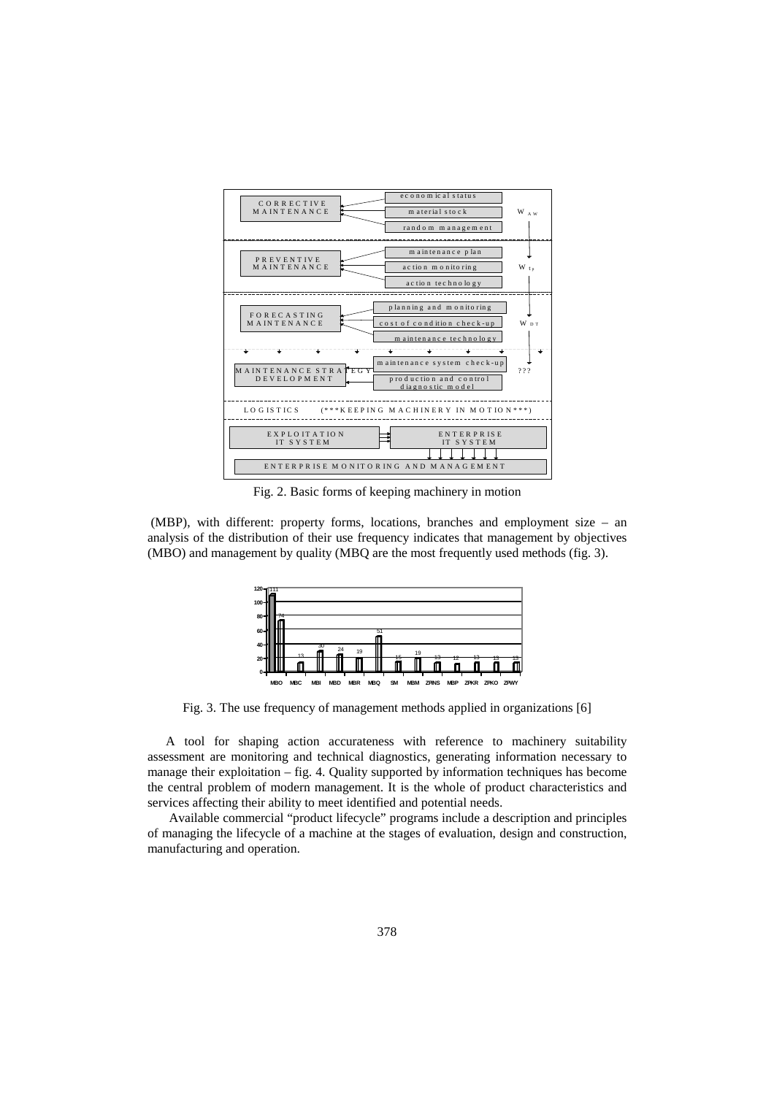

Fig. 2. Basic forms of keeping machinery in motion

 (MBP), with different: property forms, locations, branches and employment size – an analysis of the distribution of their use frequency indicates that management by objectives (MBO) and management by quality (MBQ are the most frequently used methods (fig. 3).



Fig. 3. The use frequency of management methods applied in organizations [6]

A tool for shaping action accurateness with reference to machinery suitability assessment are monitoring and technical diagnostics, generating information necessary to manage their exploitation – fig. 4. Quality supported by information techniques has become the central problem of modern management. It is the whole of product characteristics and services affecting their ability to meet identified and potential needs.

 Available commercial "product lifecycle" programs include a description and principles of managing the lifecycle of a machine at the stages of evaluation, design and construction, manufacturing and operation.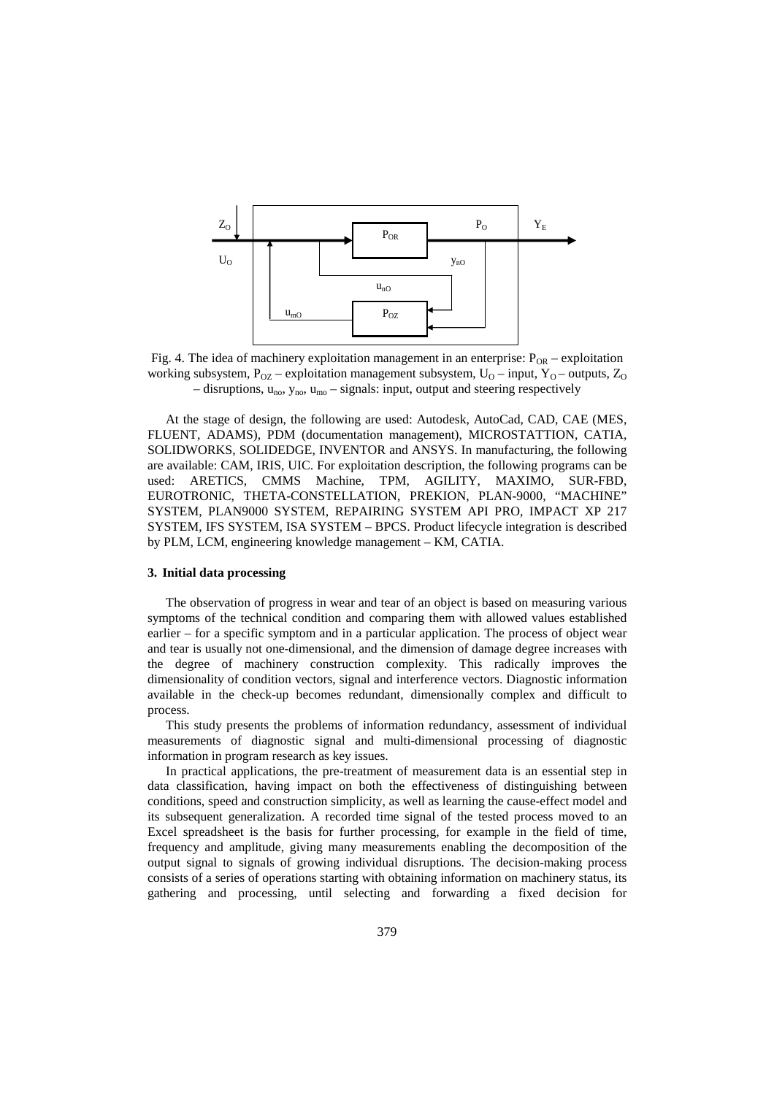

Fig. 4. The idea of machinery exploitation management in an enterprise:  $P_{OR}$  – exploitation working subsystem,  $P_{OZ}$  – exploitation management subsystem,  $U_O$  – input,  $Y_O$  – outputs,  $Z_O$ – disruptions,  $u_{no}$ ,  $y_{no}$ ,  $u_{mo}$  – signals: input, output and steering respectively

At the stage of design, the following are used: Autodesk, AutoCad, CAD, CAE (MES, FLUENT, ADAMS), PDM (documentation management), MICROSTATTION, CATIA, SOLIDWORKS, SOLIDEDGE, INVENTOR and ANSYS. In manufacturing, the following are available: CAM, IRIS, UIC. For exploitation description, the following programs can be used: ARETICS, CMMS Machine, TPM, AGILITY, MAXIMO, SUR-FBD, EUROTRONIC, THETA-CONSTELLATION, PREKION, PLAN-9000, "MACHINE" SYSTEM, PLAN9000 SYSTEM, REPAIRING SYSTEM API PRO, IMPACT XP 217 SYSTEM, IFS SYSTEM, ISA SYSTEM – BPCS. Product lifecycle integration is described by PLM, LCM, engineering knowledge management – KM, CATIA.

#### **3. Initial data processing**

The observation of progress in wear and tear of an object is based on measuring various symptoms of the technical condition and comparing them with allowed values established earlier – for a specific symptom and in a particular application. The process of object wear and tear is usually not one-dimensional, and the dimension of damage degree increases with the degree of machinery construction complexity. This radically improves the dimensionality of condition vectors, signal and interference vectors. Diagnostic information available in the check-up becomes redundant, dimensionally complex and difficult to process.

This study presents the problems of information redundancy, assessment of individual measurements of diagnostic signal and multi-dimensional processing of diagnostic information in program research as key issues.

In practical applications, the pre-treatment of measurement data is an essential step in data classification, having impact on both the effectiveness of distinguishing between conditions, speed and construction simplicity, as well as learning the cause-effect model and its subsequent generalization. A recorded time signal of the tested process moved to an Excel spreadsheet is the basis for further processing, for example in the field of time, frequency and amplitude, giving many measurements enabling the decomposition of the output signal to signals of growing individual disruptions. The decision-making process consists of a series of operations starting with obtaining information on machinery status, its gathering and processing, until selecting and forwarding a fixed decision for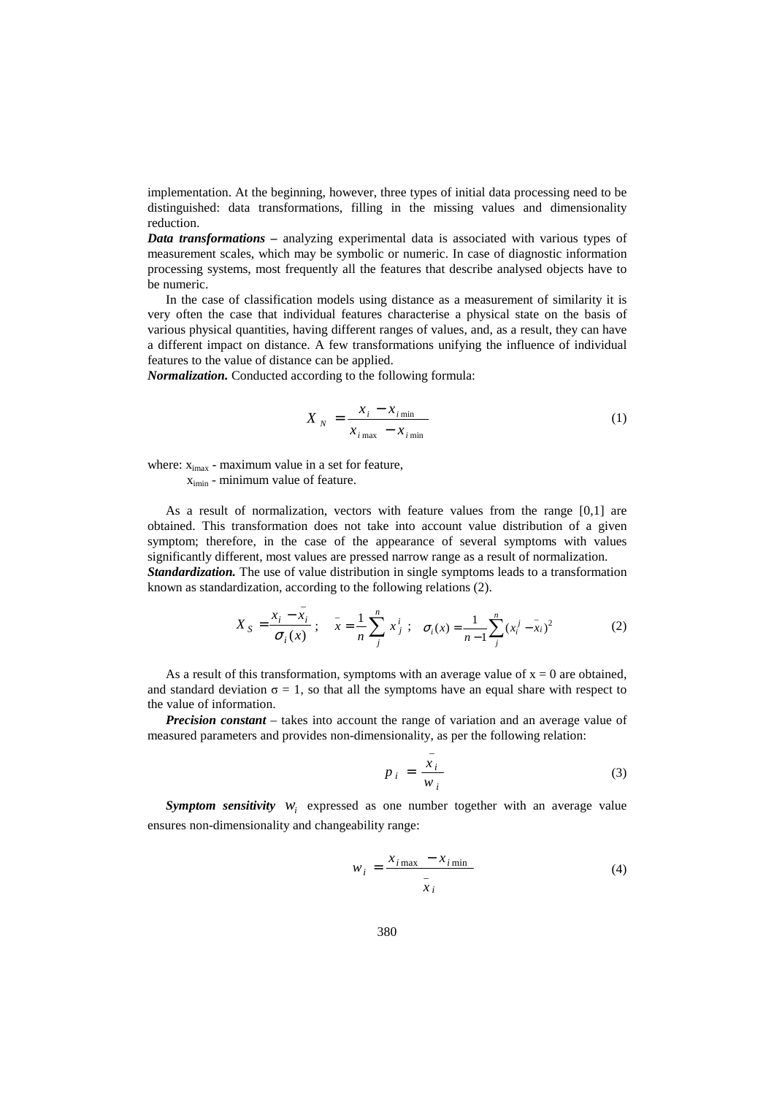implementation. At the beginning, however, three types of initial data processing need to be distinguished: data transformations, filling in the missing values and dimensionality reduction.

*Data transformations –* analyzing experimental data is associated with various types of measurement scales, which may be symbolic or numeric. In case of diagnostic information processing systems, most frequently all the features that describe analysed objects have to be numeric.

In the case of classification models using distance as a measurement of similarity it is very often the case that individual features characterise a physical state on the basis of various physical quantities, having different ranges of values, and, as a result, they can have a different impact on distance. A few transformations unifying the influence of individual features to the value of distance can be applied.

*Normalization.* Conducted according to the following formula:

\_

$$
X_N = \frac{x_i - x_{i_{\min}}}{x_{i_{\max}} - x_{i_{\min}}}
$$
 (1)

where:  $x_{i max}$  - maximum value in a set for feature,

ximin - minimum value of feature.

As a result of normalization, vectors with feature values from the range [0,1] are obtained. This transformation does not take into account value distribution of a given symptom; therefore, in the case of the appearance of several symptoms with values significantly different, most values are pressed narrow range as a result of normalization. *Standardization.* The use of value distribution in single symptoms leads to a transformation known as standardization, according to the following relations (2).

$$
X_{S} = \frac{x_{i} - x_{i}}{\sigma_{i}(x)} \; ; \quad \bar{x} = \frac{1}{n} \sum_{j}^{n} x_{j}^{i} \; ; \quad \sigma_{i}(x) = \frac{1}{n-1} \sum_{j}^{n} (x_{i}^{j} - \bar{x}_{i})^{2} \tag{2}
$$

\_

As a result of this transformation, symptoms with an average value of  $x = 0$  are obtained, and standard deviation  $\sigma = 1$ , so that all the symptoms have an equal share with respect to the value of information.

*Precision constant* – takes into account the range of variation and an average value of measured parameters and provides non-dimensionality, as per the following relation:

$$
p_i = \frac{x_i}{w_i} \tag{3}
$$

**Symptom sensitivity**  $W_i$  expressed as one number together with an average value ensures non-dimensionality and changeability range:

$$
w_i = \frac{x_{i\max} - x_{i\min}}{\bar{x}_i} \tag{4}
$$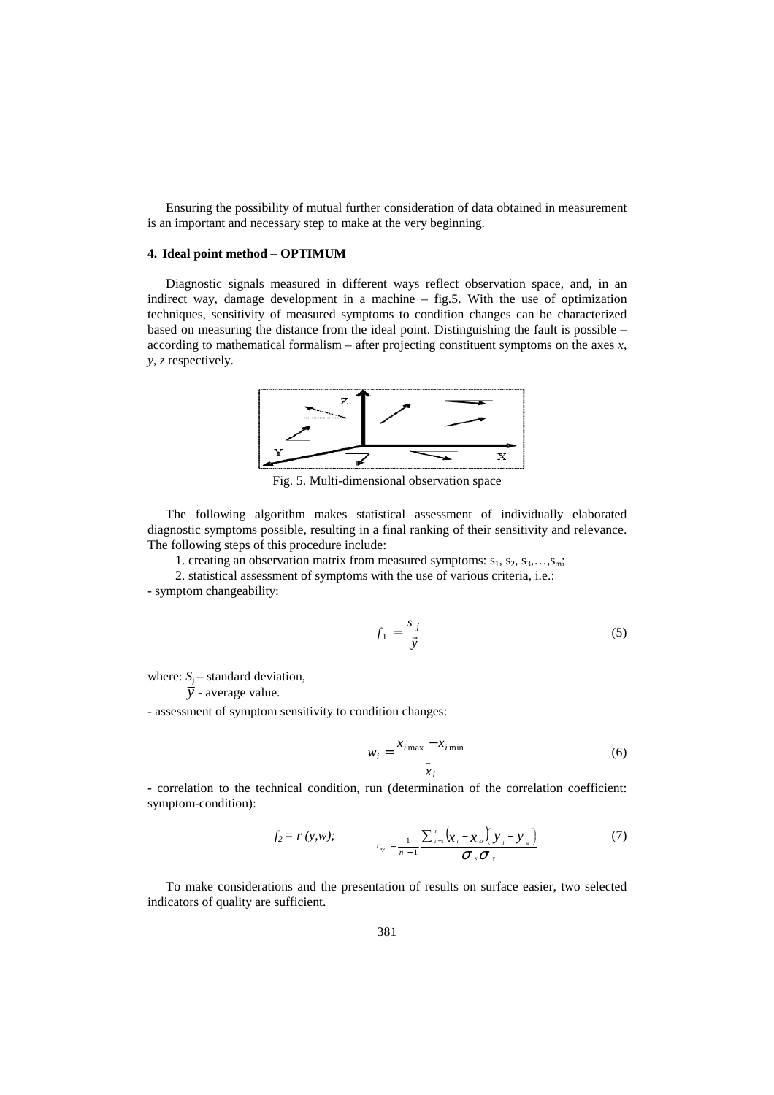Ensuring the possibility of mutual further consideration of data obtained in measurement is an important and necessary step to make at the very beginning.

# **4. Ideal point method – OPTIMUM**

Diagnostic signals measured in different ways reflect observation space, and, in an indirect way, damage development in a machine – fig.5. With the use of optimization techniques, sensitivity of measured symptoms to condition changes can be characterized based on measuring the distance from the ideal point. Distinguishing the fault is possible – according to mathematical formalism – after projecting constituent symptoms on the axes *x, y, z* respectively.



Fig. 5. Multi-dimensional observation space

The following algorithm makes statistical assessment of individually elaborated diagnostic symptoms possible, resulting in a final ranking of their sensitivity and relevance. The following steps of this procedure include:

1. creating an observation matrix from measured symptoms:  $s_1, s_2, s_3, \ldots, s_m$ ;

2. statistical assessment of symptoms with the use of various criteria, i.e.:

- symptom changeability:

$$
f_1 = \frac{s_j}{\vec{y}}\tag{5}
$$

where:  $S_i$  – standard deviation,

 $\bar{v}$  - average value.

- assessment of symptom sensitivity to condition changes:

$$
w_i = \frac{x_{i\max} - x_{i\min}}{\bar{x}_i}
$$
 (6)

- correlation to the technical condition, run (determination of the correlation coefficient: symptom-condition):

$$
f_2 = r(y, w); \qquad \qquad r_{xy} = \frac{1}{n-1} \frac{\sum_{i=1}^{n} (x_i - x_{sr})(y_i - y_{sr})}{\sigma_x \sigma_y}
$$
 (7)

To make considerations and the presentation of results on surface easier, two selected indicators of quality are sufficient.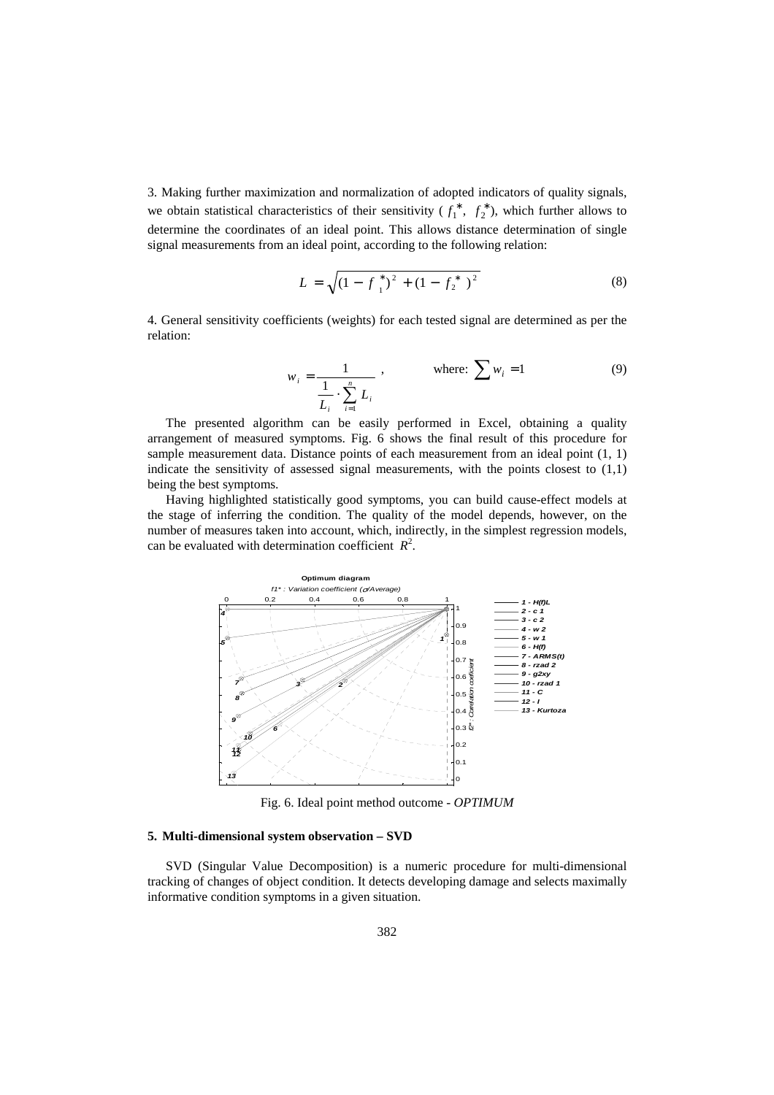3. Making further maximization and normalization of adopted indicators of quality signals, we obtain statistical characteristics of their sensitivity  $(f_1^*, f_2^*)$ , which further allows to determine the coordinates of an ideal point. This allows distance determination of single signal measurements from an ideal point, according to the following relation:

$$
L = \sqrt{\left(1 - f_{1}^{*}\right)^{2} + \left(1 - f_{2}^{*}\right)^{2}}
$$
\n(8)

4. General sensitivity coefficients (weights) for each tested signal are determined as per the relation:

$$
w_{i} = \frac{1}{\frac{1}{L_{i}} \cdot \sum_{i=1}^{n} L_{i}} , \quad \text{where: } \sum w_{i} = 1
$$
 (9)

The presented algorithm can be easily performed in Excel, obtaining a quality arrangement of measured symptoms. Fig. 6 shows the final result of this procedure for sample measurement data. Distance points of each measurement from an ideal point  $(1, 1)$ indicate the sensitivity of assessed signal measurements, with the points closest to (1,1) being the best symptoms.

Having highlighted statistically good symptoms, you can build cause-effect models at the stage of inferring the condition. The quality of the model depends, however, on the number of measures taken into account, which, indirectly, in the simplest regression models, can be evaluated with determination coefficient  $R^2$ .



Fig. 6. Ideal point method outcome - *OPTIMUM* 

## **5. Multi-dimensional system observation – SVD**

SVD (Singular Value Decomposition) is a numeric procedure for multi-dimensional tracking of changes of object condition. It detects developing damage and selects maximally informative condition symptoms in a given situation.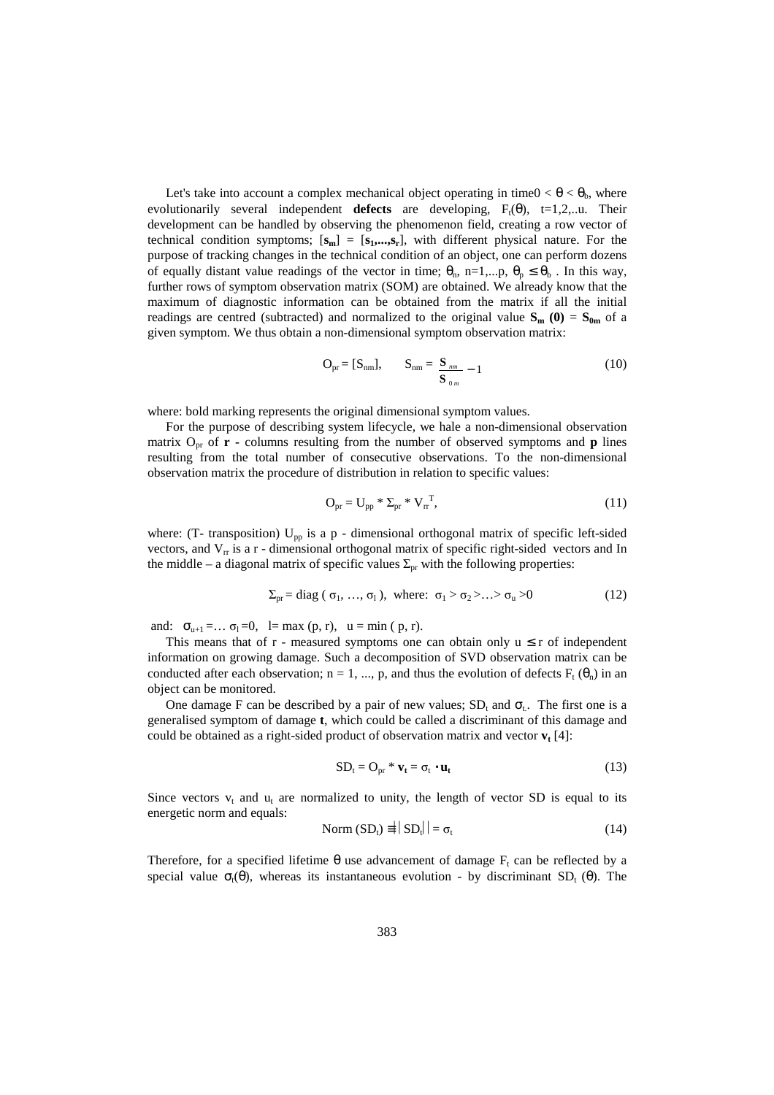Let's take into account a complex mechanical object operating in time0  $< \theta < \theta_h$ , where evolutionarily several independent **defects** are developing,  $F_t(\theta)$ ,  $t=1,2,...$  Their development can be handled by observing the phenomenon field, creating a row vector of technical condition symptoms;  $[\mathbf{s}_m] = [\mathbf{s}_1, \dots, \mathbf{s}_r]$ , with different physical nature. For the purpose of tracking changes in the technical condition of an object, one can perform dozens of equally distant value readings of the vector in time;  $\theta_n$ , n=1,...p,  $\theta_p \leq \theta_b$ . In this way, further rows of symptom observation matrix (SOM) are obtained. We already know that the maximum of diagnostic information can be obtained from the matrix if all the initial readings are centred (subtracted) and normalized to the original value  $S_m$  (0) =  $S_{0m}$  of a given symptom. We thus obtain a non-dimensional symptom observation matrix:

$$
\mathbf{O}_{\mathrm{pr}} = [\mathbf{S}_{\mathrm{nm}}], \qquad \mathbf{S}_{\mathrm{nm}} = \frac{\mathbf{S}_{\mathrm{nm}}}{\mathbf{S}_{\mathrm{0}\mathrm{m}}} - 1 \tag{10}
$$

where: bold marking represents the original dimensional symptom values.

For the purpose of describing system lifecycle, we hale a non-dimensional observation matrix  $O_{pr}$  of **r** - columns resulting from the number of observed symptoms and **p** lines resulting from the total number of consecutive observations. To the non-dimensional observation matrix the procedure of distribution in relation to specific values:

$$
\mathbf{O}_{\mathrm{pr}} = \mathbf{U}_{\mathrm{pp}} \ast \mathbf{\Sigma}_{\mathrm{pr}} \ast \mathbf{V}_{\mathrm{rr}}^{\mathrm{T}},\tag{11}
$$

where: (T- transposition)  $U_{pp}$  is a p - dimensional orthogonal matrix of specific left-sided vectors, and  $V_{\rm r}$  is a r - dimensional orthogonal matrix of specific right-sided vectors and In the middle – a diagonal matrix of specific values  $\Sigma_{\text{pr}}$  with the following properties:

$$
\Sigma_{\text{pr}} = \text{diag}(\sigma_1, \dots, \sigma_1), \text{ where: } \sigma_1 > \sigma_2 > \dots > \sigma_u > 0 \tag{12}
$$

and:  $\sigma_{u+1} = ... \sigma_1 = 0$ , l= max (p, r), u = min (p, r).

This means that of  $r$  - measured symptoms one can obtain only  $u \le r$  of independent information on growing damage. Such a decomposition of SVD observation matrix can be conducted after each observation;  $n = 1, ..., p$ , and thus the evolution of defects  $F_t(\theta_n)$  in an object can be monitored.

One damage F can be described by a pair of new values;  $SD_t$  and  $\sigma_t$ . The first one is a generalised symptom of damage **t**, which could be called a discriminant of this damage and could be obtained as a right-sided product of observation matrix and vector **v<sup>t</sup>** [4]:

$$
SD_{t} = O_{pr} * \mathbf{v}_{t} = \sigma_{t} \cdot \mathbf{u}_{t}
$$
 (13)

Since vectors  $v_t$  and  $u_t$  are normalized to unity, the length of vector SD is equal to its energetic norm and equals:

$$
Norm (SDt) \equiv ||SDt|| = \sigmat
$$
 (14)

Therefore, for a specified lifetime  $\theta$  use advancement of damage  $F_t$  can be reflected by a special value  $\sigma_1(\theta)$ , whereas its instantaneous evolution - by discriminant SD<sub>t</sub> (θ). The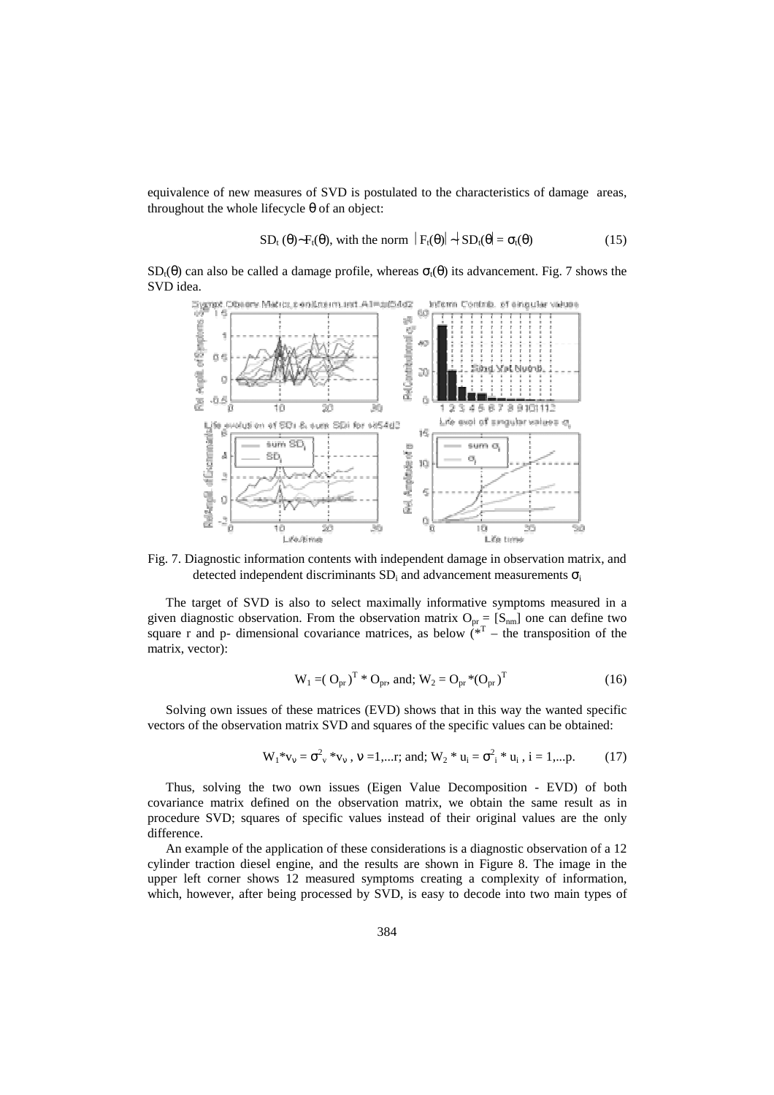equivalence of new measures of SVD is postulated to the characteristics of damage areas, throughout the whole lifecycle θ of an object:

$$
SD_{t}(\theta) \sim F_{t}(\theta), \text{ with the norm } |F_{t}(\theta)| \sim |SD_{t}(\theta) = \sigma_{t}(\theta)
$$
 (15)

 $SD<sub>t</sub>(\theta)$  can also be called a damage profile, whereas  $\sigma<sub>t</sub>(\theta)$  its advancement. Fig. 7 shows the



Fig. 7. Diagnostic information contents with independent damage in observation matrix, and detected independent discriminants  $SD_i$  and advancement measurements  $\sigma_i$ 

The target of SVD is also to select maximally informative symptoms measured in a given diagnostic observation. From the observation matrix  $O_{pr} = [S_{nm}]$  one can define two square r and p- dimensional covariance matrices, as below  $(x^T -$  the transposition of the matrix, vector):

$$
W_1 = (O_{pr})^T * O_{pr}, \text{ and; } W_2 = O_{pr} * (O_{pr})^T
$$
 (16)

Solving own issues of these matrices (EVD) shows that in this way the wanted specific vectors of the observation matrix SVD and squares of the specific values can be obtained:

$$
W_1 * v_v = \sigma_v^2 * v_v, \ v = 1,...r; \text{ and; } W_2 * u_i = \sigma_i^2 * u_i, \ i = 1,...p. \tag{17}
$$

Thus, solving the two own issues (Eigen Value Decomposition - EVD) of both covariance matrix defined on the observation matrix, we obtain the same result as in procedure SVD; squares of specific values instead of their original values are the only difference.

An example of the application of these considerations is a diagnostic observation of a 12 cylinder traction diesel engine, and the results are shown in Figure 8. The image in the upper left corner shows 12 measured symptoms creating a complexity of information, which, however, after being processed by SVD, is easy to decode into two main types of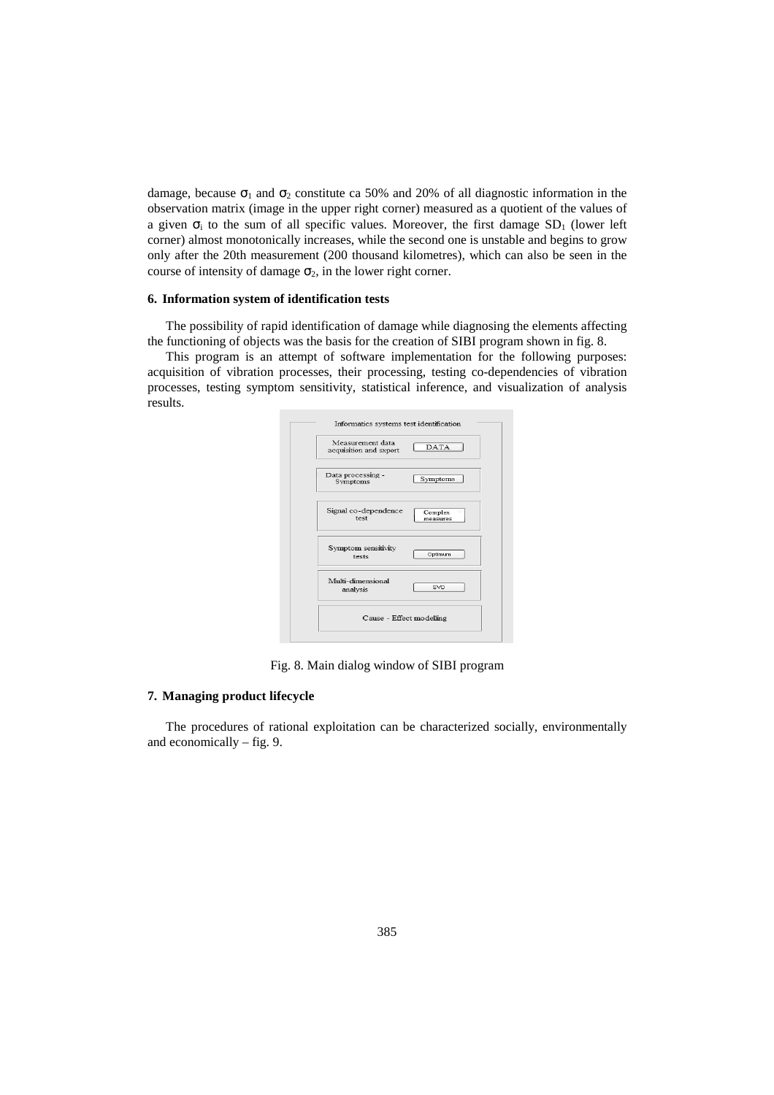damage, because  $\sigma_1$  and  $\sigma_2$  constitute ca 50% and 20% of all diagnostic information in the observation matrix (image in the upper right corner) measured as a quotient of the values of a given  $\sigma_i$  to the sum of all specific values. Moreover, the first damage  $SD_1$  (lower left corner) almost monotonically increases, while the second one is unstable and begins to grow only after the 20th measurement (200 thousand kilometres), which can also be seen in the course of intensity of damage  $\sigma_2$ , in the lower right corner.

#### **6. Information system of identification tests**

The possibility of rapid identification of damage while diagnosing the elements affecting the functioning of objects was the basis for the creation of SIBI program shown in fig. 8.

This program is an attempt of software implementation for the following purposes: acquisition of vibration processes, their processing, testing co-dependencies of vibration processes, testing symptom sensitivity, statistical inference, and visualization of analysis results.

| Measurement data<br>acquisition and sxport | <b>DATA</b>         |
|--------------------------------------------|---------------------|
| Data processing -<br>Symptoms              | Symptoms            |
| Signal co-dependence<br>test               | Complex<br>measures |
| Symptom sensitivity<br>tests               | Optimum             |
| Multi-dimensional<br>analysis              | SVD.                |

Fig. 8. Main dialog window of SIBI program

# **7. Managing product lifecycle**

The procedures of rational exploitation can be characterized socially, environmentally and economically – fig. 9.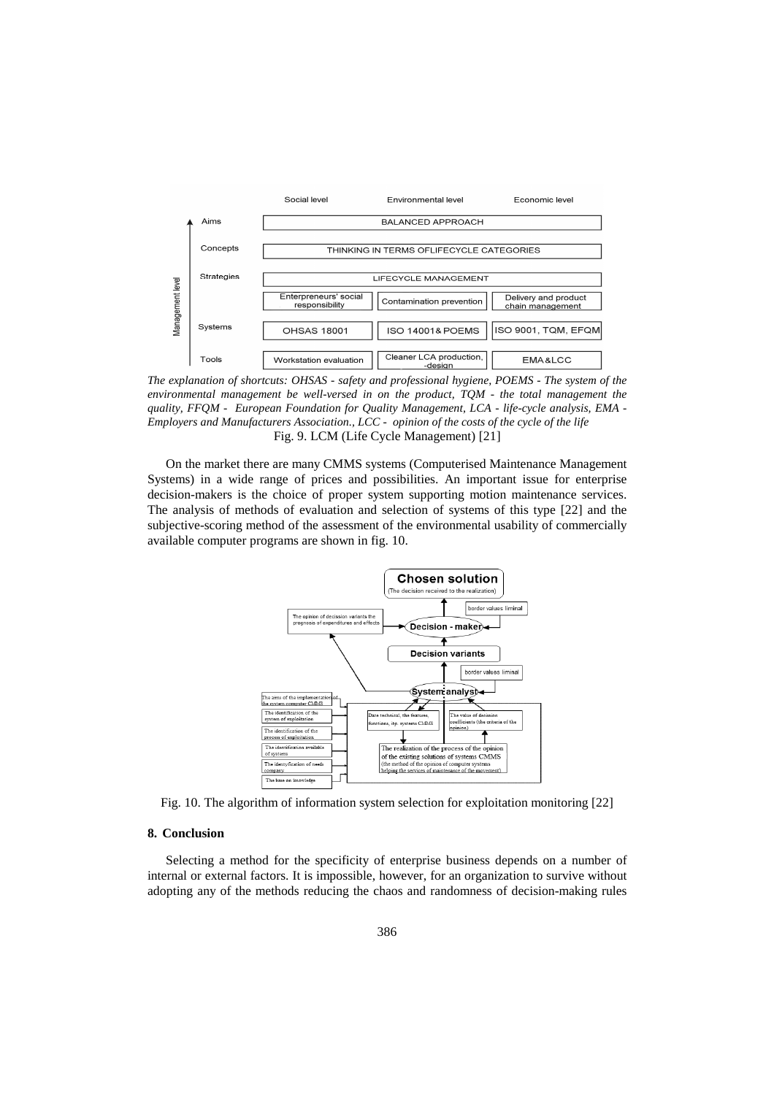

*The explanation of shortcuts: OHSAS - safety and professional hygiene, POEMS - The system of the environmental management be well-versed in on the product, TQM - the total management the quality, FFQM - European Foundation for Quality Management, LCA - life-cycle analysis, EMA - Employers and Manufacturers Association., LCC - opinion of the costs of the cycle of the life*  Fig. 9. LCM (Life Cycle Management) [21]

On the market there are many CMMS systems (Computerised Maintenance Management Systems) in a wide range of prices and possibilities. An important issue for enterprise decision-makers is the choice of proper system supporting motion maintenance services. The analysis of methods of evaluation and selection of systems of this type [22] and the subjective-scoring method of the assessment of the environmental usability of commercially available computer programs are shown in fig. 10.



Fig. 10. The algorithm of information system selection for exploitation monitoring [22]

## **8. Conclusion**

Selecting a method for the specificity of enterprise business depends on a number of internal or external factors. It is impossible, however, for an organization to survive without adopting any of the methods reducing the chaos and randomness of decision-making rules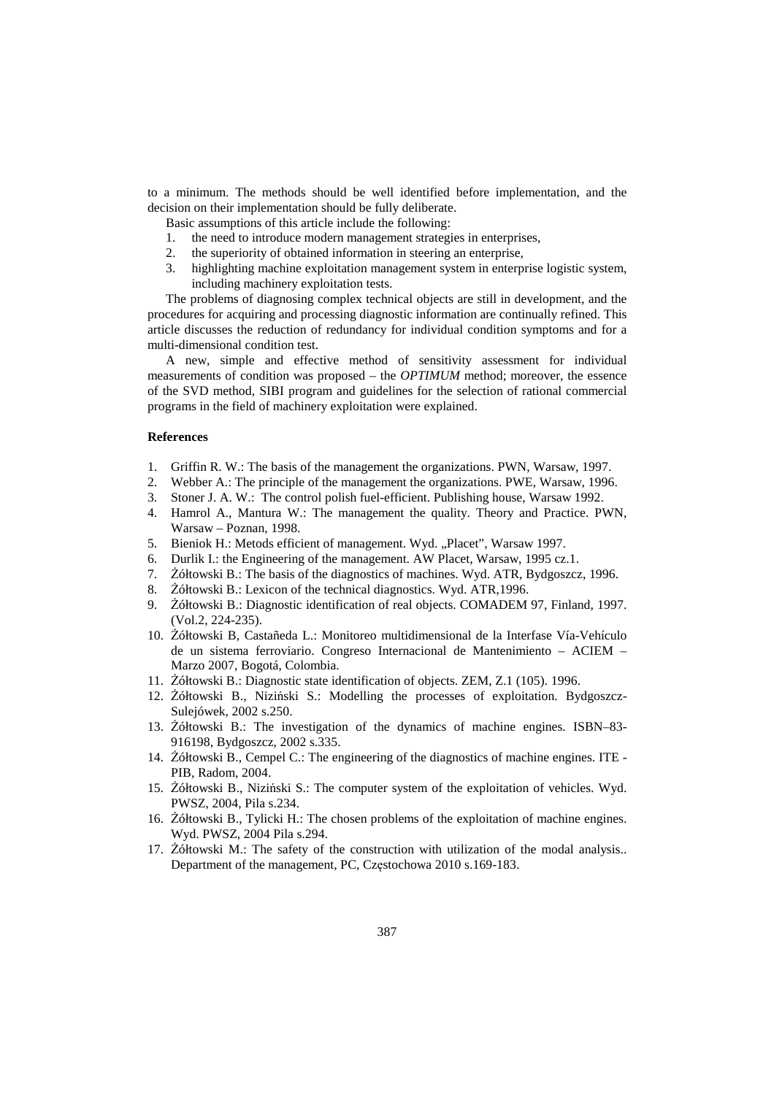to a minimum. The methods should be well identified before implementation, and the decision on their implementation should be fully deliberate.

Basic assumptions of this article include the following:

- 1. the need to introduce modern management strategies in enterprises,
- 2. the superiority of obtained information in steering an enterprise,
- 3. highlighting machine exploitation management system in enterprise logistic system, including machinery exploitation tests.

The problems of diagnosing complex technical objects are still in development, and the procedures for acquiring and processing diagnostic information are continually refined. This article discusses the reduction of redundancy for individual condition symptoms and for a multi-dimensional condition test.

A new, simple and effective method of sensitivity assessment for individual measurements of condition was proposed – the *OPTIMUM* method; moreover, the essence of the SVD method, SIBI program and guidelines for the selection of rational commercial programs in the field of machinery exploitation were explained.

### **References**

- 1. Griffin R. W.: The basis of the management the organizations. PWN, Warsaw, 1997.
- 2. Webber A.: The principle of the management the organizations. PWE, Warsaw, 1996.
- 3. Stoner J. A. W.: The control polish fuel-efficient. Publishing house, Warsaw 1992.
- 4. Hamrol A., Mantura W.: The management the quality. Theory and Practice. PWN, Warsaw – Poznan, 1998.
- 5. Bieniok H.: Metods efficient of management. Wyd. "Placet", Warsaw 1997.
- 6. Durlik I.: the Engineering of the management. AW Placet, Warsaw, 1995 cz.1.
- 7. Żółtowski B.: The basis of the diagnostics of machines. Wyd. ATR, Bydgoszcz, 1996.
- 8. Żółtowski B.: Lexicon of the technical diagnostics. Wyd. ATR,1996.
- 9. Żółtowski B.: Diagnostic identification of real objects. COMADEM 97, Finland, 1997. (Vol.2, 224-235).
- 10. Żółtowski B, Castañeda L.: Monitoreo multidimensional de la Interfase Vía-Vehículo de un sistema ferroviario. Congreso Internacional de Mantenimiento – ACIEM – Marzo 2007, Bogotá, Colombia.
- 11. Żółtowski B.: Diagnostic state identification of objects. ZEM, Z.1 (105). 1996.
- 12. Żółtowski B., Niziński S.: Modelling the processes of exploitation. Bydgoszcz-Sulejówek, 2002 s.250.
- 13. Żółtowski B.: The investigation of the dynamics of machine engines. ISBN–83- 916198, Bydgoszcz, 2002 s.335.
- 14. Żółtowski B., Cempel C.: The engineering of the diagnostics of machine engines. ITE PIB, Radom, 2004.
- 15. Żółtowski B., Niziński S.: The computer system of the exploitation of vehicles. Wyd. PWSZ, 2004, Pila s.234.
- 16. Żółtowski B., Tylicki H.: The chosen problems of the exploitation of machine engines. Wyd. PWSZ, 2004 Pila s.294.
- 17. Żółtowski M.: The safety of the construction with utilization of the modal analysis.. Department of the management, PC, Częstochowa 2010 s.169-183.